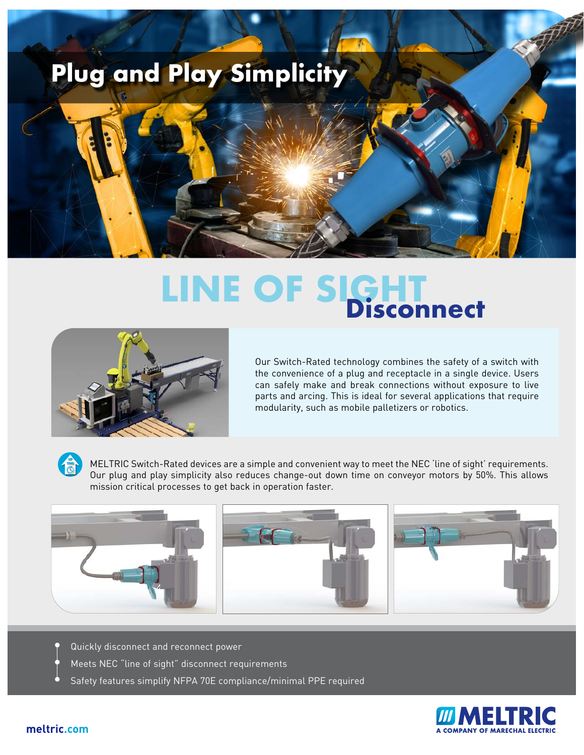

# **LINE OF SIGHT Disconnect**



Our Switch-Rated technology combines the safety of a switch with the convenience of a plug and receptacle in a single device. Users can safely make and break connections without exposure to live parts and arcing. This is ideal for several applications that require modularity, such as mobile palletizers or robotics.

MELTRIC Switch-Rated devices are a simple and convenient way to meet the NEC 'line of sight' requirements. Our plug and play simplicity also reduces change-out down time on conveyor motors by 50%. This allows mission critical processes to get back in operation faster.



- Quickly disconnect and reconnect power
- Meets NEC "line of sight" disconnect requirements
- Safety features simplify NFPA 70E compliance/minimal PPE required